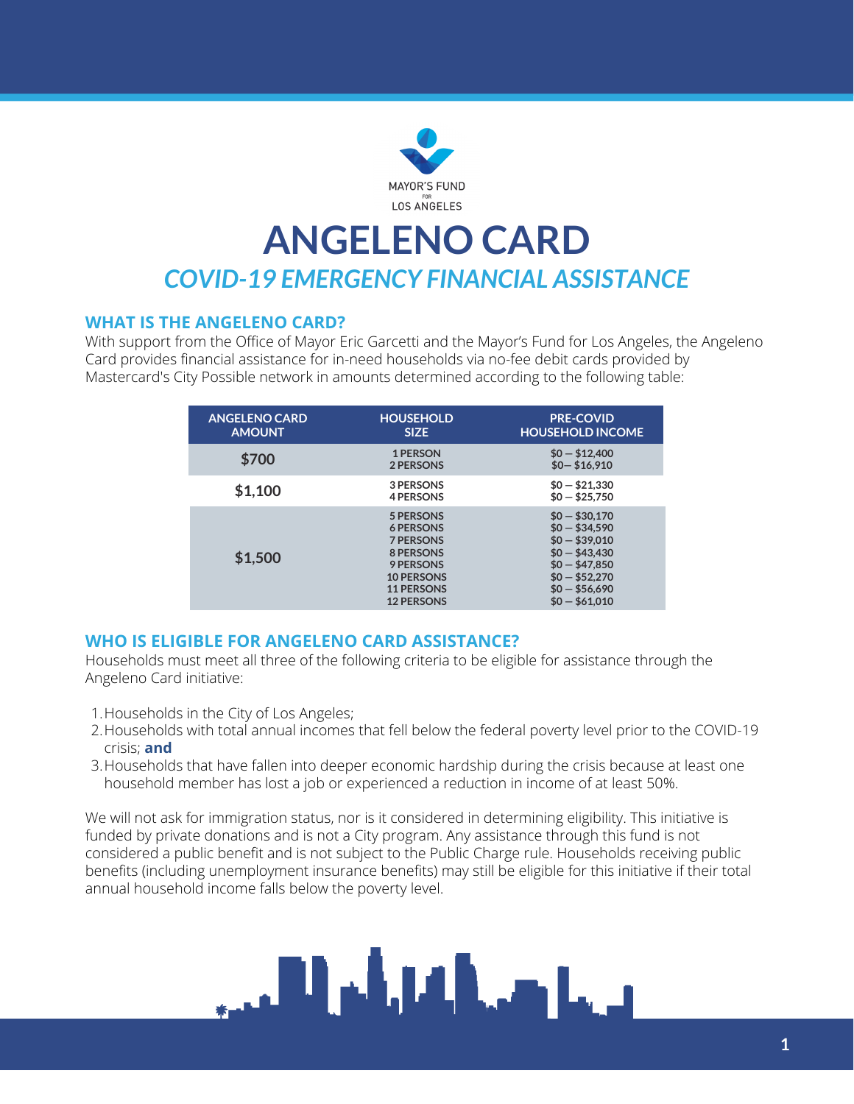

## **ANGELENO CARD** *COVID-19 EMERGENCY FINANCIAL ASSISTANCE*

#### **WHAT IS THE ANGELENO CARD?**

With support from the Office of Mayor Eric Garcetti and the Mayor's Fund for Los Angeles, the Angeleno Card provides financial assistance for in-need households via no-fee debit cards provided by Mastercard's City Possible network in amounts determined according to the following table:

| <b>ANGELENO CARD</b><br><b>AMOUNT</b> | <b>HOUSEHOLD</b><br><b>SIZE</b>                                                                                                            | <b>PRE-COVID</b><br><b>HOUSEHOLD INCOME</b>                                                                                                  |
|---------------------------------------|--------------------------------------------------------------------------------------------------------------------------------------------|----------------------------------------------------------------------------------------------------------------------------------------------|
| \$700                                 | 1 PERSON<br>2 PERSONS                                                                                                                      | $$0 - $12,400$<br>$$0 - $16,910$                                                                                                             |
| \$1,100                               | 3 PERSONS<br><b>4 PERSONS</b>                                                                                                              | $$0 - $21,330$<br>$$0 - $25.750$                                                                                                             |
| \$1,500                               | 5 PERSONS<br><b>6 PERSONS</b><br><b>7 PERSONS</b><br>8 PERSONS<br>9 PERSONS<br><b>10 PERSONS</b><br><b>11 PERSONS</b><br><b>12 PERSONS</b> | $$0 - $30.170$<br>$$0 - $34,590$<br>$$0 - $39.010$<br>$$0 - $43,430$<br>$$0 - $47.850$<br>$$0 - $52,270$<br>$$0 - $56,690$<br>$$0 - $61,010$ |

#### **WHO IS ELIGIBLE FOR ANGELENO CARD ASSISTANCE?**

Households must meet all three of the following criteria to be eligible for assistance through the Angeleno Card initiative:

- 1. Households in the City of Los Angeles;
- 2.Households with total annual incomes that fell below the federal poverty level prior to the COVID-19  $\,$ crisis; **and**
- 3. Households that have fallen into deeper economic hardship during the crisis because at least one household member has lost a job or experienced a reduction in income of at least 50%.

We will not ask for immigration status, nor is it considered in determining eligibility. This initiative is funded by private donations and is not a City program. Any assistance through this fund is not considered a public benefit and is not subject to the Public Charge rule. Households receiving public benefits (including unemployment insurance benefits) may still be eligible for this initiative if their total annual household income falls below the poverty level.

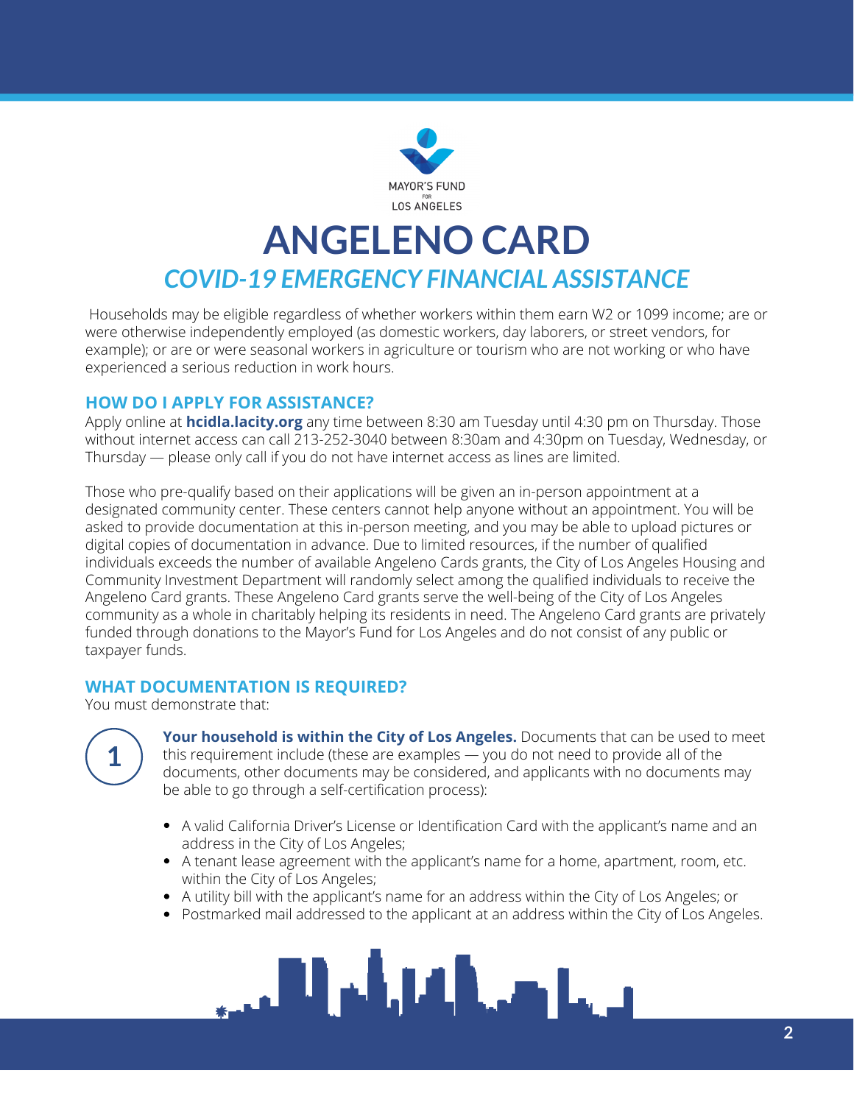

## **ANGELENO CARD** *COVID-19 EMERGENCY FINANCIAL ASSISTANCE*

Households may be eligible regardless of whether workers within them earn W2 or 1099 income; are or were otherwise independently employed (as domestic workers, day laborers, or street vendors, for example); or are or were seasonal workers in agriculture or tourism who are not working or who have experienced a serious reduction in work hours.

#### **HOW DO I APPLY FOR ASSISTANCE?**

Apply online at **[hcidla.lacity.org](http://hcid.lacity.org/)** any time between 8:30 am Tuesday until 4:30 pm on Thursday. Those without internet access can call 213-252-3040 between 8:30am and 4:30pm on Tuesday, Wednesday, or Thursday — please only call if you do not have internet access as lines are limited.

Those who pre-qualify based on their applications will be given an in-person appointment at a designated community center. These centers cannot help anyone without an appointment. You will be asked to provide documentation at this in-person meeting, and you may be able to upload pictures or digital copies of documentation in advance. Due to limited resources, if the number of qualified individuals exceeds the number of available Angeleno Cards grants, the City of Los Angeles Housing and Community Investment Department will randomly select among the qualified individuals to receive the Angeleno Card grants. These Angeleno Card grants serve the well-being of the City of Los Angeles community as a whole in charitably helping its residents in need. The Angeleno Card grants are privately funded through donations to the Mayor's Fund for Los Angeles and do not consist of any public or taxpayer funds.

#### **WHAT DOCUMENTATION IS REQUIRED?**

You must demonstrate that:



**Your household is within the City of Los Angeles.** Documents that can be used to meet this requirement include (these are examples — you do not need to provide all of the documents, other documents may be considered, and applicants with no documents may be able to go through a self-certification process):

- A valid California Driver's License or Identification Card with the applicant's name and an address in the City of Los Angeles;
- A tenant lease agreement with the applicant's name for a home, apartment, room, etc. within the City of Los Angeles;
- A utility bill with the applicant's name for an address within the City of Los Angeles; or
- Postmarked mail addressed to the applicant at an address within the City of Los Angeles.